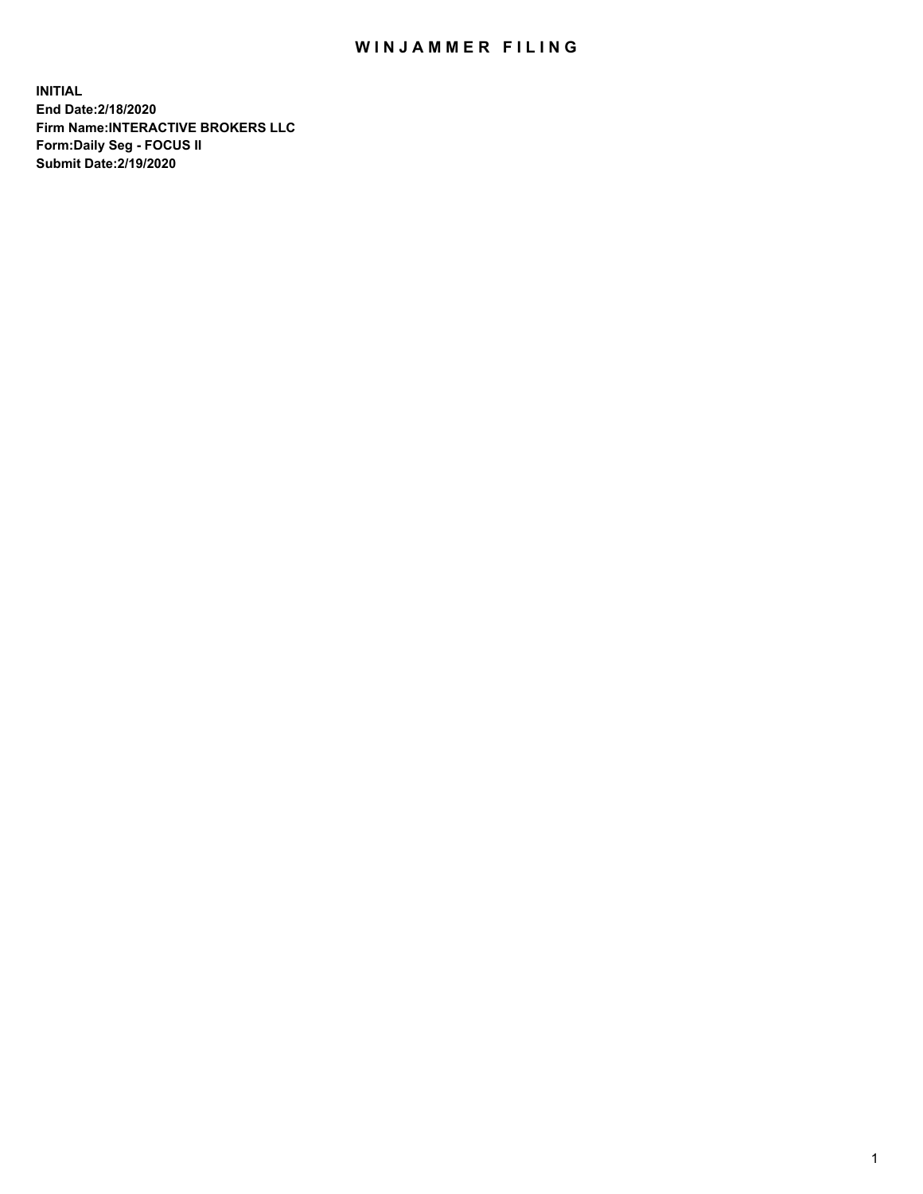## WIN JAMMER FILING

**INITIAL End Date:2/18/2020 Firm Name:INTERACTIVE BROKERS LLC Form:Daily Seg - FOCUS II Submit Date:2/19/2020**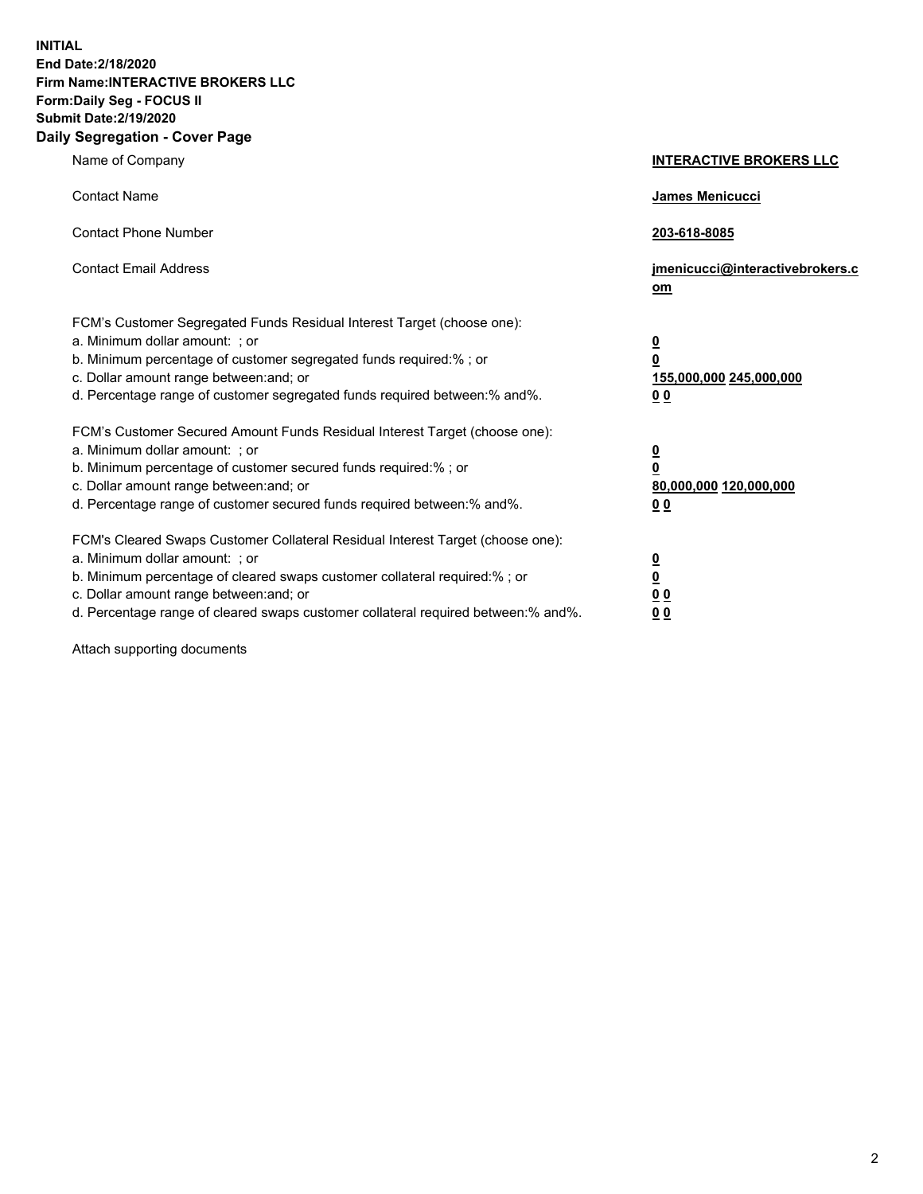**INITIAL End Date:2/18/2020 Firm Name:INTERACTIVE BROKERS LLC Form:Daily Seg - FOCUS II Submit Date:2/19/2020 Daily Segregation - Cover Page**

| Name of Company                                                                                                                                                                                                                                                                                                                  | <b>INTERACTIVE BROKERS LLC</b>                                                                  |
|----------------------------------------------------------------------------------------------------------------------------------------------------------------------------------------------------------------------------------------------------------------------------------------------------------------------------------|-------------------------------------------------------------------------------------------------|
| <b>Contact Name</b>                                                                                                                                                                                                                                                                                                              | <b>James Menicucci</b>                                                                          |
| <b>Contact Phone Number</b>                                                                                                                                                                                                                                                                                                      | 203-618-8085                                                                                    |
| <b>Contact Email Address</b>                                                                                                                                                                                                                                                                                                     | jmenicucci@interactivebrokers.c<br>om                                                           |
| FCM's Customer Segregated Funds Residual Interest Target (choose one):<br>a. Minimum dollar amount: ; or<br>b. Minimum percentage of customer segregated funds required:% ; or<br>c. Dollar amount range between: and; or<br>d. Percentage range of customer segregated funds required between:% and%.                           | $\overline{\mathbf{0}}$<br>$\overline{\mathbf{0}}$<br>155,000,000 245,000,000<br>0 <sub>0</sub> |
| FCM's Customer Secured Amount Funds Residual Interest Target (choose one):<br>a. Minimum dollar amount: ; or<br>b. Minimum percentage of customer secured funds required:% ; or<br>c. Dollar amount range between: and; or<br>d. Percentage range of customer secured funds required between:% and%.                             | <u>0</u><br>$\overline{\mathbf{0}}$<br>80,000,000 120,000,000<br><u>00</u>                      |
| FCM's Cleared Swaps Customer Collateral Residual Interest Target (choose one):<br>a. Minimum dollar amount: ; or<br>b. Minimum percentage of cleared swaps customer collateral required:% ; or<br>c. Dollar amount range between: and; or<br>d. Percentage range of cleared swaps customer collateral required between: % and %. | <u>0</u><br>$\underline{\mathbf{0}}$<br>0 <sub>0</sub><br>0 <sub>0</sub>                        |

Attach supporting documents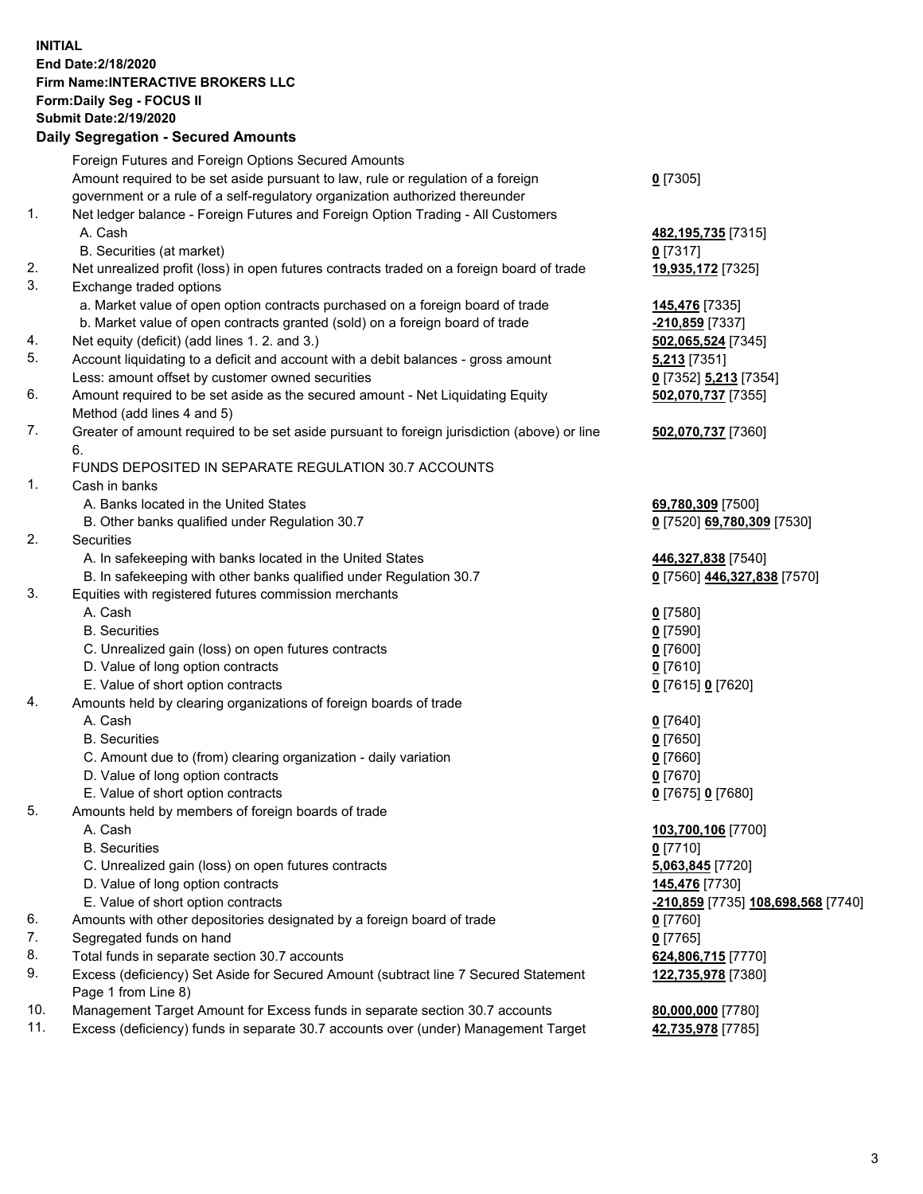## **INITIAL End Date:2/18/2020 Firm Name:INTERACTIVE BROKERS LLC Form:Daily Seg - FOCUS II Submit Date:2/19/2020 Daily Segregation - Secured Amounts**

|     | Daily Ocglegation - Occured Anioants                                                                       |                                    |
|-----|------------------------------------------------------------------------------------------------------------|------------------------------------|
|     | Foreign Futures and Foreign Options Secured Amounts                                                        |                                    |
|     | Amount required to be set aside pursuant to law, rule or regulation of a foreign                           | $0$ [7305]                         |
|     | government or a rule of a self-regulatory organization authorized thereunder                               |                                    |
| 1.  | Net ledger balance - Foreign Futures and Foreign Option Trading - All Customers                            |                                    |
|     | A. Cash                                                                                                    | 482, 195, 735 [7315]               |
|     | B. Securities (at market)                                                                                  | $0$ [7317]                         |
| 2.  | Net unrealized profit (loss) in open futures contracts traded on a foreign board of trade                  | 19,935,172 [7325]                  |
| 3.  | Exchange traded options                                                                                    |                                    |
|     | a. Market value of open option contracts purchased on a foreign board of trade                             | <b>145,476</b> [7335]              |
|     | b. Market value of open contracts granted (sold) on a foreign board of trade                               | -210,859 [7337]                    |
| 4.  | Net equity (deficit) (add lines 1.2. and 3.)                                                               | 502,065,524 [7345]                 |
| 5.  | Account liquidating to a deficit and account with a debit balances - gross amount                          | <b>5,213</b> [7351]                |
|     | Less: amount offset by customer owned securities                                                           | 0 [7352] 5,213 [7354]              |
| 6.  | Amount required to be set aside as the secured amount - Net Liquidating Equity                             | 502,070,737 [7355]                 |
|     | Method (add lines 4 and 5)                                                                                 |                                    |
| 7.  | Greater of amount required to be set aside pursuant to foreign jurisdiction (above) or line                | 502,070,737 [7360]                 |
|     | 6.                                                                                                         |                                    |
|     | FUNDS DEPOSITED IN SEPARATE REGULATION 30.7 ACCOUNTS                                                       |                                    |
| 1.  | Cash in banks                                                                                              |                                    |
|     | A. Banks located in the United States                                                                      | 69,780,309 [7500]                  |
|     | B. Other banks qualified under Regulation 30.7                                                             | 0 [7520] 69,780,309 [7530]         |
| 2.  | Securities                                                                                                 |                                    |
|     | A. In safekeeping with banks located in the United States                                                  | 446,327,838 [7540]                 |
|     | B. In safekeeping with other banks qualified under Regulation 30.7                                         | 0 [7560] 446,327,838 [7570]        |
| 3.  | Equities with registered futures commission merchants                                                      |                                    |
|     | A. Cash                                                                                                    | $0$ [7580]                         |
|     | <b>B.</b> Securities                                                                                       | $0$ [7590]                         |
|     | C. Unrealized gain (loss) on open futures contracts                                                        | $0$ [7600]                         |
|     | D. Value of long option contracts                                                                          | $0$ [7610]                         |
|     | E. Value of short option contracts                                                                         | 0 [7615] 0 [7620]                  |
| 4.  | Amounts held by clearing organizations of foreign boards of trade                                          |                                    |
|     | A. Cash                                                                                                    | $0$ [7640]                         |
|     | <b>B.</b> Securities                                                                                       | $0$ [7650]                         |
|     | C. Amount due to (from) clearing organization - daily variation                                            | $0$ [7660]                         |
|     | D. Value of long option contracts                                                                          | $0$ [7670]                         |
|     | E. Value of short option contracts                                                                         | 0 [7675] 0 [7680]                  |
| 5.  | Amounts held by members of foreign boards of trade                                                         |                                    |
|     | A. Cash                                                                                                    | 103,700,106 [7700]                 |
|     | <b>B.</b> Securities                                                                                       | $0$ [7710]                         |
|     | C. Unrealized gain (loss) on open futures contracts                                                        | 5,063,845 [7720]                   |
|     | D. Value of long option contracts                                                                          | 145,476 [7730]                     |
|     | E. Value of short option contracts                                                                         | -210,859 [7735] 108,698,568 [7740] |
| 6.  | Amounts with other depositories designated by a foreign board of trade                                     | 0 [7760]                           |
| 7.  | Segregated funds on hand                                                                                   | $0$ [7765]                         |
| 8.  | Total funds in separate section 30.7 accounts                                                              | 624,806,715 [7770]                 |
| 9.  | Excess (deficiency) Set Aside for Secured Amount (subtract line 7 Secured Statement<br>Page 1 from Line 8) | 122,735,978 [7380]                 |
| 10. | Management Target Amount for Excess funds in separate section 30.7 accounts                                | 80,000,000 [7780]                  |
| 11. | Excess (deficiency) funds in separate 30.7 accounts over (under) Management Target                         | 42,735,978 [7785]                  |
|     |                                                                                                            |                                    |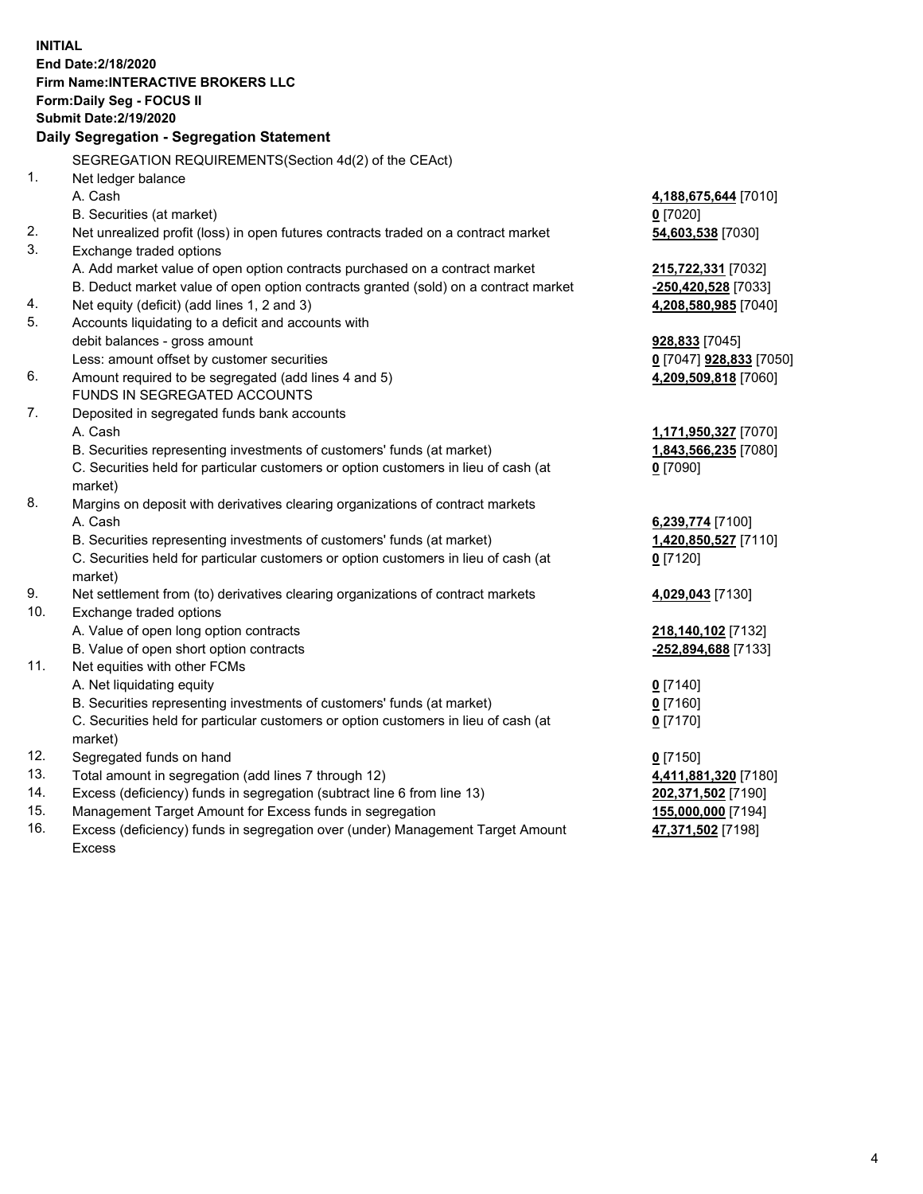**INITIAL End Date:2/18/2020 Firm Name:INTERACTIVE BROKERS LLC Form:Daily Seg - FOCUS II Submit Date:2/19/2020 Daily Segregation - Segregation Statement** SEGREGATION REQUIREMENTS(Section 4d(2) of the CEAct) 1. Net ledger balance A. Cash **4,188,675,644** [7010] B. Securities (at market) **0** [7020] 2. Net unrealized profit (loss) in open futures contracts traded on a contract market **54,603,538** [7030] 3. Exchange traded options A. Add market value of open option contracts purchased on a contract market **215,722,331** [7032] B. Deduct market value of open option contracts granted (sold) on a contract market **-250,420,528** [7033] 4. Net equity (deficit) (add lines 1, 2 and 3) **4,208,580,985** [7040] 5. Accounts liquidating to a deficit and accounts with debit balances - gross amount **928,833** [7045] Less: amount offset by customer securities **0** [7047] **928,833** [7050] 6. Amount required to be segregated (add lines 4 and 5) **4,209,509,818** [7060] FUNDS IN SEGREGATED ACCOUNTS 7. Deposited in segregated funds bank accounts A. Cash **1,171,950,327** [7070] B. Securities representing investments of customers' funds (at market) **1,843,566,235** [7080] C. Securities held for particular customers or option customers in lieu of cash (at market) **0** [7090] 8. Margins on deposit with derivatives clearing organizations of contract markets A. Cash **6,239,774** [7100] B. Securities representing investments of customers' funds (at market) **1,420,850,527** [7110] C. Securities held for particular customers or option customers in lieu of cash (at market) **0** [7120] 9. Net settlement from (to) derivatives clearing organizations of contract markets **4,029,043** [7130] 10. Exchange traded options A. Value of open long option contracts **218,140,102** [7132] B. Value of open short option contracts **-252,894,688** [7133] 11. Net equities with other FCMs A. Net liquidating equity **0** [7140] B. Securities representing investments of customers' funds (at market) **0** [7160] C. Securities held for particular customers or option customers in lieu of cash (at market) **0** [7170] 12. Segregated funds on hand **0** [7150] 13. Total amount in segregation (add lines 7 through 12) **4,411,881,320** [7180] 14. Excess (deficiency) funds in segregation (subtract line 6 from line 13) **202,371,502** [7190] 15. Management Target Amount for Excess funds in segregation **155,000,000** [7194] **47,371,502** [7198]

16. Excess (deficiency) funds in segregation over (under) Management Target Amount Excess